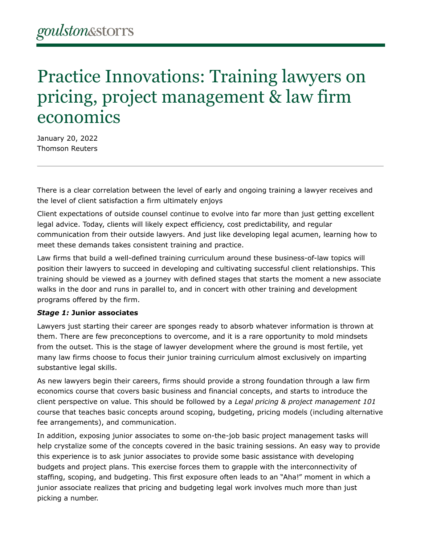# Practice Innovations: Training lawyers on pricing, project management & law firm economics

January 20, 2022 Thomson Reuters

There is a clear correlation between the level of early and ongoing training a lawyer receives and the level of client satisfaction a firm ultimately enjoys

Client expectations of outside counsel continue to evolve into far more than just getting excellent legal advice. Today, clients will likely expect efficiency, cost predictability, and regular communication from their outside lawyers. And just like developing legal acumen, learning how to meet these demands takes consistent training and practice.

Law firms that build a well-defined training curriculum around these business-of-law topics will position their lawyers to succeed in developing and cultivating successful client relationships. This training should be viewed as a journey with defined stages that starts the moment a new associate walks in the door and runs in parallel to, and in concert with other training and development programs offered by the firm.

### *Stage 1:* **Junior associates**

Lawyers just starting their career are sponges ready to absorb whatever information is thrown at them. There are few preconceptions to overcome, and it is a rare opportunity to mold mindsets from the outset. This is the stage of lawyer development where the ground is most fertile, yet many law firms choose to focus their junior training curriculum almost exclusively on imparting substantive legal skills.

As new lawyers begin their careers, firms should provide a strong foundation through a law firm economics course that covers basic business and financial concepts, and starts to introduce the client perspective on value. This should be followed by a *Legal pricing & project management 101* course that teaches basic concepts around scoping, budgeting, pricing models (including alternative fee arrangements), and communication.

In addition, exposing junior associates to some on-the-job basic project management tasks will help crystalize some of the concepts covered in the basic training sessions. An easy way to provide this experience is to ask junior associates to provide some basic assistance with developing budgets and project plans. This exercise forces them to grapple with the interconnectivity of staffing, scoping, and budgeting. This first exposure often leads to an "Aha!" moment in which a junior associate realizes that pricing and budgeting legal work involves much more than just picking a number.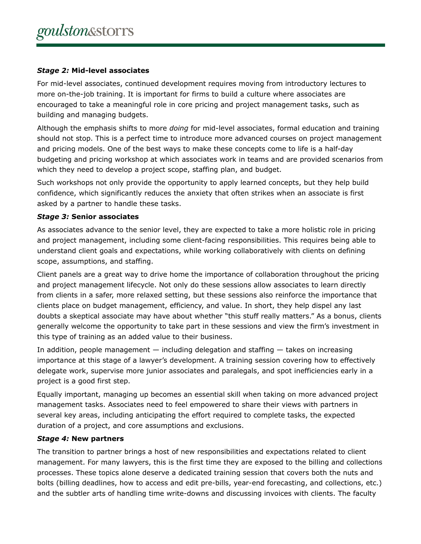## *Stage 2:* **Mid-level associates**

For mid-level associates, continued development requires moving from introductory lectures to more on-the-job training. It is important for firms to build a culture where associates are encouraged to take a meaningful role in core pricing and project management tasks, such as building and managing budgets.

Although the emphasis shifts to more *doing* for mid-level associates, formal education and training should not stop. This is a perfect time to introduce more advanced courses on project management and pricing models. One of the best ways to make these concepts come to life is a half-day budgeting and pricing workshop at which associates work in teams and are provided scenarios from which they need to develop a project scope, staffing plan, and budget.

Such workshops not only provide the opportunity to apply learned concepts, but they help build confidence, which significantly reduces the anxiety that often strikes when an associate is first asked by a partner to handle these tasks.

## *Stage 3:* **Senior associates**

As associates advance to the senior level, they are expected to take a more holistic role in pricing and project management, including some client-facing responsibilities. This requires being able to understand client goals and expectations, while working collaboratively with clients on defining scope, assumptions, and staffing.

Client panels are a great way to drive home the importance of collaboration throughout the pricing and project management lifecycle. Not only do these sessions allow associates to learn directly from clients in a safer, more relaxed setting, but these sessions also reinforce the importance that clients place on budget management, efficiency, and value. In short, they help dispel any last doubts a skeptical associate may have about whether "this stuff really matters." As a bonus, clients generally welcome the opportunity to take part in these sessions and view the firm's investment in this type of training as an added value to their business.

In addition, people management — including delegation and staffing — takes on increasing importance at this stage of a lawyer's development. A training session covering how to effectively delegate work, supervise more junior associates and paralegals, and spot inefficiencies early in a project is a good first step.

Equally important, managing up becomes an essential skill when taking on more advanced project management tasks. Associates need to feel empowered to share their views with partners in several key areas, including anticipating the effort required to complete tasks, the expected duration of a project, and core assumptions and exclusions.

### *Stage 4:* **New partners**

The transition to partner brings a host of new responsibilities and expectations related to client management. For many lawyers, this is the first time they are exposed to the billing and collections processes. These topics alone deserve a dedicated training session that covers both the nuts and bolts (billing deadlines, how to access and edit pre-bills, year-end forecasting, and collections, etc.) and the subtler arts of handling time write-downs and discussing invoices with clients. The faculty